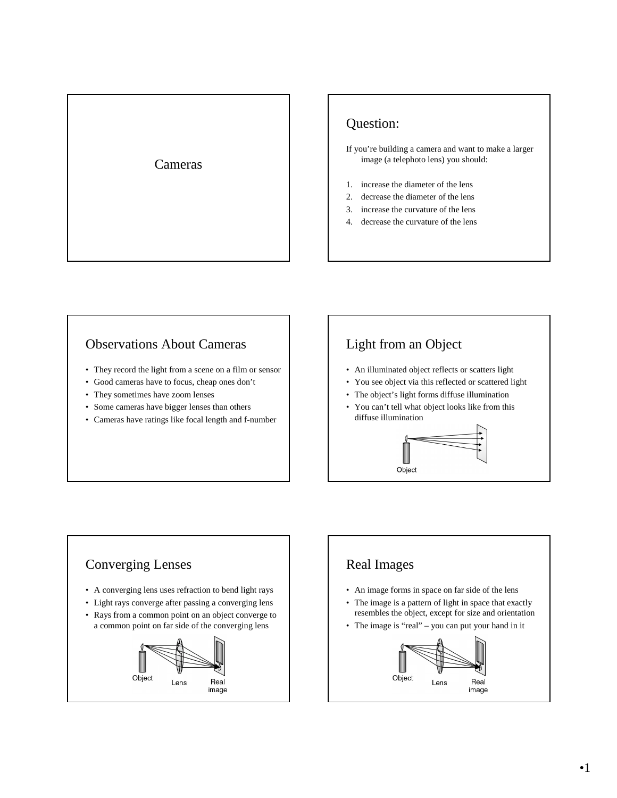

### Question:

If you're building a camera and want to make a larger image (a telephoto lens) you should:

- 1. increase the diameter of the lens
- 2. decrease the diameter of the lens
- 3. increase the curvature of the lens
- 4. decrease the curvature of the lens

#### Observations About Cameras

- They record the light from a scene on a film or sensor
- Good cameras have to focus, cheap ones don't
- They sometimes have zoom lenses
- Some cameras have bigger lenses than others
- Cameras have ratings like focal length and f-number

### Light from an Object

- An illuminated object reflects or scatters light
- You see object via this reflected or scattered light
- The object's light forms diffuse illumination
- You can't tell what object looks like from this diffuse illumination



# Converging Lenses • A converging lens uses refraction to bend light rays • Light rays converge after passing a converging lens • Rays from a common point on an object converge to a common point on far side of the converging lens Object Real Lens image

## Real Images

- An image forms in space on far side of the lens
- The image is a pattern of light in space that exactly resembles the object, except for size and orientation
- The image is "real" you can put your hand in it

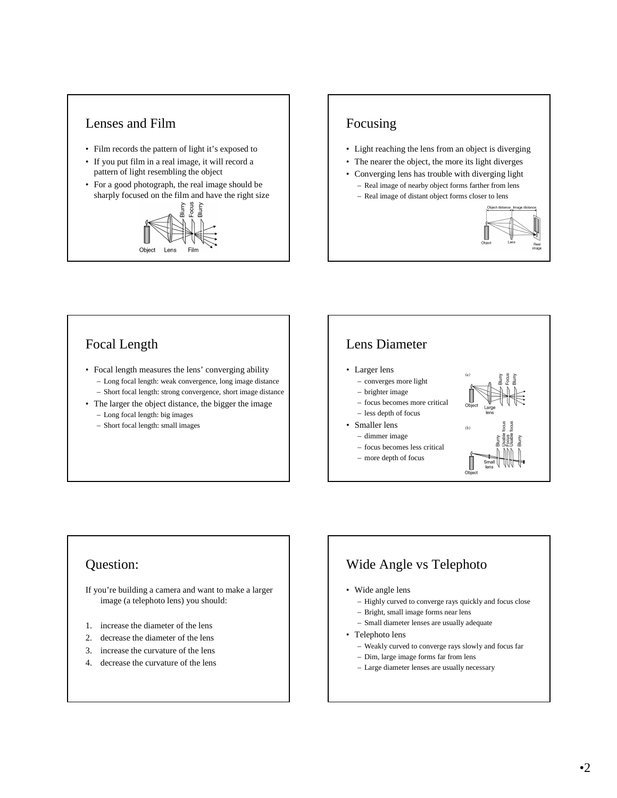# Lenses and Film

- Film records the pattern of light it's exposed to
- If you put film in a real image, it will record a pattern of light resembling the object
- For a good photograph, the real image should be sharply focused on the film and have the right size



# Focusing

- Light reaching the lens from an object is diverging
- The nearer the object, the more its light diverges
- Converging lens has trouble with diverging light
	- Real image of nearby object forms farther from lens
	- Real image of distant object forms closer to lens



#### Focal Length

- Focal length measures the lens' converging ability – Long focal length: weak convergence, long image distance
	- Short focal length: strong convergence, short image distance
- The larger the object distance, the bigger the image – Long focal length: big images
	- Short focal length: small images

# Lens Diameter

- Larger lens
- converges more light
- brighter image
- focus becomes more critical
- less depth of focus
- Smaller lens
	- dimmer image
	- focus becomes less critical
	- more depth of focus



#### Question:

If you're building a camera and want to make a larger image (a telephoto lens) you should:

- 1. increase the diameter of the lens
- 2. decrease the diameter of the lens
- 3. increase the curvature of the lens
- 4. decrease the curvature of the lens

### Wide Angle vs Telephoto

- Wide angle lens
	- Highly curved to converge rays quickly and focus close
	- Bright, small image forms near lens
	- Small diameter lenses are usually adequate
- Telephoto lens
	- Weakly curved to converge rays slowly and focus far
	- Dim, large image forms far from lens
	- Large diameter lenses are usually necessary